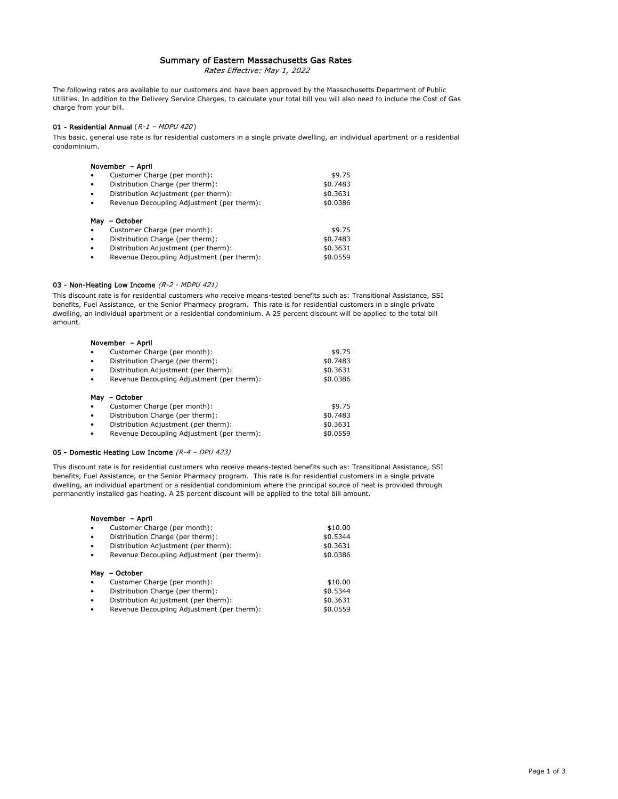# Summary of Eastern Massachusetts Gas Rates

Rates Effective: May 1, 2022

The following rates are available to our customers and have been approved by the Massachusetts Department of Public Utilities. In addition to the Delivery Service Charges, to calculate your total bill you will also need to include the Cost of Gas charge from your bill.

# 01 - Residential Annual  $(R-I - MDPU 420)$

This basic, general use rate is for residential customers in a single private dwelling, an individual apartment or a residential condominium.

| November - April |                                            |          |
|------------------|--------------------------------------------|----------|
| $\bullet$        | Customer Charge (per month):               | \$9.75   |
| $\bullet$        | Distribution Charge (per therm):           | \$0.7483 |
| $\bullet$        | Distribution Adjustment (per therm):       | \$0.3631 |
| $\bullet$        | Revenue Decoupling Adjustment (per therm): | \$0.0386 |
| May              | – October                                  |          |
| $\bullet$        | Customer Charge (per month):               | \$9.75   |
| $\bullet$        | Distribution Charge (per therm):           | \$0.7483 |
| $\bullet$        | Distribution Adjustment (per therm):       | \$0.3631 |
| $\bullet$        | Revenue Decoupling Adjustment (per therm): | \$0.0559 |

#### 03 - Non-Heating Low Income (R-2 - MDPU 421)

This discount rate is for residential customers who receive means-tested benefits such as: Transitional Assistance, SSI benefits, Fuel Assistance, or the Senior Pharmacy program. This rate is for residential customers in a single private dwelling, an individual apartment or a residential condominium. A 25 percent discount will be applied to the total bill amount.

|           | November - April                           |          |  |
|-----------|--------------------------------------------|----------|--|
|           | Customer Charge (per month):               | \$9.75   |  |
| ٠         | Distribution Charge (per therm):           | \$0.7483 |  |
| $\bullet$ | Distribution Adjustment (per therm):       | \$0.3631 |  |
| $\bullet$ | Revenue Decoupling Adjustment (per therm): | \$0.0386 |  |
|           |                                            |          |  |
| May       | – October                                  |          |  |
|           | Customer Charge (per month):               | \$9.75   |  |
|           | Distribution Charge (per therm):           | \$0.7483 |  |
| $\bullet$ | Distribution Adjustment (per therm):       | \$0.3631 |  |
| ٠         | Revenue Decoupling Adjustment (per therm): | \$0.0559 |  |

#### 05 - Domestic Heating Low Income  $(R - 4 - DPU 423)$

This discount rate is for residential customers who receive means-tested benefits such as: Transitional Assistance, SSI benefits, Fuel Assistance, or the Senior Pharmacy program. This rate is for residential customers in a single private dwelling, an individual apartment or a residential condominium where the principal source of heat is provided through permanently installed gas heating. A 25 percent discount will be applied to the total bill amount.

#### November – April

| $\bullet$              | Customer Charge (per month):                                                       | \$10.00                          |
|------------------------|------------------------------------------------------------------------------------|----------------------------------|
| $\bullet$              | Distribution Charge (per therm):                                                   | \$0.5344                         |
| $\bullet$              | Distribution Adjustment (per therm):                                               | \$0.3631                         |
| $\bullet$              | Revenue Decoupling Adjustment (per therm):                                         | \$0.0386                         |
| May<br>$\bullet$       | October<br>Customer Charge (per month):                                            | \$10.00                          |
| $\bullet$              | Distribution Charge (per therm):                                                   |                                  |
| $\bullet$<br>$\bullet$ | Distribution Adjustment (per therm):<br>Revenue Decoupling Adjustment (per therm): | \$0.5344<br>\$0.3631<br>\$0.0559 |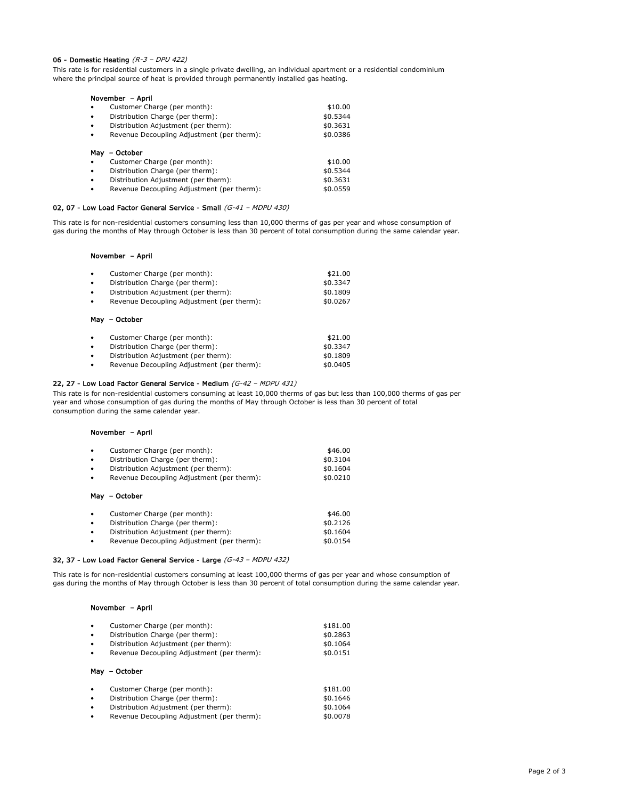## 06 - Domestic Heating  $(R - 3 - DPU 422)$

This rate is for residential customers in a single private dwelling, an individual apartment or a residential condominium where the principal source of heat is provided through permanently installed gas heating.

| November - April |                                            |          |
|------------------|--------------------------------------------|----------|
| $\bullet$        | Customer Charge (per month):               | \$10.00  |
| $\bullet$        | Distribution Charge (per therm):           | \$0.5344 |
| $\bullet$        | Distribution Adjustment (per therm):       | \$0.3631 |
| $\bullet$        | Revenue Decoupling Adjustment (per therm): | \$0.0386 |
| May              | - October<br>Customer Charge (per month):  | \$10.00  |
| $\bullet$        | Distribution Charge (per therm):           | \$0.5344 |
| $\bullet$        | Distribution Adjustment (per therm):       | \$0.3631 |
| $\bullet$        | Revenue Decoupling Adjustment (per therm): | \$0.0559 |

#### 02, 07 - Low Load Factor General Service - Small (G-41 - MDPU 430)

This rate is for non-residential customers consuming less than 10,000 therms of gas per year and whose consumption of gas during the months of May through October is less than 30 percent of total consumption during the same calendar year.

### November – April

| $\bullet$ | Customer Charge (per month):               | \$21.00  |
|-----------|--------------------------------------------|----------|
| $\bullet$ | Distribution Charge (per therm):           | \$0.3347 |
| $\bullet$ | Distribution Adjustment (per therm):       | \$0.1809 |
| $\bullet$ | Revenue Decoupling Adjustment (per therm): | \$0.0267 |
|           | May - October                              |          |

| ٠ | Customer Charge (per month):               | \$21.00  |
|---|--------------------------------------------|----------|
| ٠ | Distribution Charge (per therm):           | \$0.3347 |
| ٠ | Distribution Adjustment (per therm):       | \$0.1809 |
| ٠ | Revenue Decoupling Adjustment (per therm): | \$0.0405 |

### 22, 27 - Low Load Factor General Service - Medium (G-42 - MDPU 431)

This rate is for non-residential customers consuming at least 10,000 therms of gas but less than 100,000 therms of gas per year and whose consumption of gas during the months of May through October is less than 30 percent of total consumption during the same calendar year.

# November – April

| $\bullet$ | Customer Charge (per month):               | \$46.00  |
|-----------|--------------------------------------------|----------|
| $\bullet$ | Distribution Charge (per therm):           | \$0.3104 |
| $\bullet$ | Distribution Adjustment (per therm):       | \$0.1604 |
| $\bullet$ | Revenue Decoupling Adjustment (per therm): | \$0.0210 |
|           | May - October                              |          |
|           | Customer Charge (per month):               | \$46.00  |

| $\bullet$ | Customer Charge (per month):               | \$46.00  |
|-----------|--------------------------------------------|----------|
| $\bullet$ | Distribution Charge (per therm):           | \$0.2126 |
| $\bullet$ | Distribution Adjustment (per therm):       | \$0.1604 |
| $\bullet$ | Revenue Decoupling Adjustment (per therm): | \$0.0154 |

## 32, 37 - Low Load Factor General Service - Large (G-43 – MDPU 432)

This rate is for non-residential customers consuming at least 100,000 therms of gas per year and whose consumption of gas during the months of May through October is less than 30 percent of total consumption during the same calendar year.

### November – April

| $\bullet$ | Customer Charge (per month):               | \$181.00 |
|-----------|--------------------------------------------|----------|
| $\bullet$ | Distribution Charge (per therm):           | \$0.2863 |
| $\bullet$ | Distribution Adjustment (per therm):       | \$0.1064 |
| $\bullet$ | Revenue Decoupling Adjustment (per therm): | \$0.0151 |
|           | May - October                              |          |
|           |                                            | $+ 1010$ |

| ٠ | Customer Charge (per month):               | \$181.00 |
|---|--------------------------------------------|----------|
| ٠ | Distribution Charge (per therm):           | \$0.1646 |
| ٠ | Distribution Adjustment (per therm):       | \$0.1064 |
| ٠ | Revenue Decoupling Adjustment (per therm): | \$0,0078 |
|   |                                            |          |